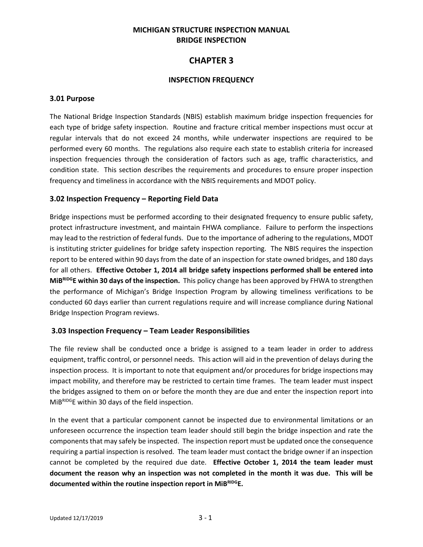## **MICHIGAN STRUCTURE INSPECTION MANUAL BRIDGE INSPECTION**

# **CHAPTER 3**

#### **INSPECTION FREQUENCY**

#### **3.01 Purpose**

The National Bridge Inspection Standards (NBIS) establish maximum bridge inspection frequencies for each type of bridge safety inspection. Routine and fracture critical member inspections must occur at regular intervals that do not exceed 24 months, while underwater inspections are required to be performed every 60 months. The regulations also require each state to establish criteria for increased inspection frequencies through the consideration of factors such as age, traffic characteristics, and condition state. This section describes the requirements and procedures to ensure proper inspection frequency and timeliness in accordance with the NBIS requirements and MDOT policy.

#### **3.02 Inspection Frequency – Reporting Field Data**

Bridge inspections must be performed according to their designated frequency to ensure public safety, protect infrastructure investment, and maintain FHWA compliance. Failure to perform the inspections may lead to the restriction of federal funds. Due to the importance of adhering to the regulations, MDOT is instituting stricter guidelines for bridge safety inspection reporting. The NBIS requires the inspection report to be entered within 90 days from the date of an inspection for state owned bridges, and 180 days for all others. **Effective October 1, 2014 all bridge safety inspections performed shall be entered into MiBRIDGE within 30 days of the inspection.** This policy change has been approved by FHWA to strengthen the performance of Michigan's Bridge Inspection Program by allowing timeliness verifications to be conducted 60 days earlier than current regulations require and will increase compliance during National Bridge Inspection Program reviews.

## **3.03 Inspection Frequency – Team Leader Responsibilities**

The file review shall be conducted once a bridge is assigned to a team leader in order to address equipment, traffic control, or personnel needs. This action will aid in the prevention of delays during the inspection process. It is important to note that equipment and/or procedures for bridge inspections may impact mobility, and therefore may be restricted to certain time frames. The team leader must inspect the bridges assigned to them on or before the month they are due and enter the inspection report into MiBRIDGE within 30 days of the field inspection.

In the event that a particular component cannot be inspected due to environmental limitations or an unforeseen occurrence the inspection team leader should still begin the bridge inspection and rate the components that may safely be inspected. The inspection report must be updated once the consequence requiring a partial inspection is resolved. The team leader must contact the bridge owner if an inspection cannot be completed by the required due date. **Effective October 1, 2014 the team leader must document the reason why an inspection was not completed in the month it was due. This will be documented within the routine inspection report in MiBRIDGE.**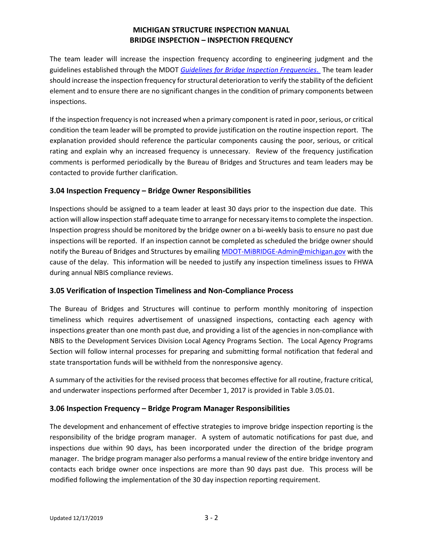# **MICHIGAN STRUCTURE INSPECTION MANUAL BRIDGE INSPECTION – INSPECTION FREQUENCY**

The team leader will increase the inspection frequency according to engineering judgment and the guidelines established through the MDOT *[Guidelines for Bridge Inspection Frequencies](https://www.michigan.gov/documents/mdot/BridgeInspectionFrequencies_COMBINED_2017-11-15_606650_7.pdf)*. The team leader should increase the inspection frequency for structural deterioration to verify the stability of the deficient element and to ensure there are no significant changes in the condition of primary components between inspections.

If the inspection frequency is not increased when a primary component is rated in poor, serious, or critical condition the team leader will be prompted to provide justification on the routine inspection report. The explanation provided should reference the particular components causing the poor, serious, or critical rating and explain why an increased frequency is unnecessary. Review of the frequency justification comments is performed periodically by the Bureau of Bridges and Structures and team leaders may be contacted to provide further clarification.

## **3.04 Inspection Frequency – Bridge Owner Responsibilities**

Inspections should be assigned to a team leader at least 30 days prior to the inspection due date. This action will allow inspection staff adequate time to arrange for necessary items to complete the inspection. Inspection progress should be monitored by the bridge owner on a bi-weekly basis to ensure no past due inspections will be reported. If an inspection cannot be completed as scheduled the bridge owner should notify the Bureau of Bridges and Structures by emailing [MDOT-MiBRIDGE-Admin@michigan.gov](mailto:MDOT-MiBRIDGE-Admin@michigan.gov) with the cause of the delay. This information will be needed to justify any inspection timeliness issues to FHWA during annual NBIS compliance reviews.

## **3.05 Verification of Inspection Timeliness and Non-Compliance Process**

The Bureau of Bridges and Structures will continue to perform monthly monitoring of inspection timeliness which requires advertisement of unassigned inspections, contacting each agency with inspections greater than one month past due, and providing a list of the agencies in non-compliance with NBIS to the Development Services Division Local Agency Programs Section. The Local Agency Programs Section will follow internal processes for preparing and submitting formal notification that federal and state transportation funds will be withheld from the nonresponsive agency.

A summary of the activities for the revised process that becomes effective for all routine, fracture critical, and underwater inspections performed after December 1, 2017 is provided in Table 3.05.01.

# **3.06 Inspection Frequency – Bridge Program Manager Responsibilities**

The development and enhancement of effective strategies to improve bridge inspection reporting is the responsibility of the bridge program manager. A system of automatic notifications for past due, and inspections due within 90 days, has been incorporated under the direction of the bridge program manager. The bridge program manager also performs a manual review of the entire bridge inventory and contacts each bridge owner once inspections are more than 90 days past due. This process will be modified following the implementation of the 30 day inspection reporting requirement.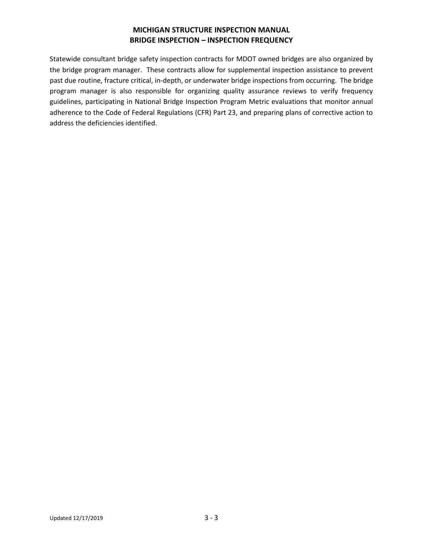# **MICHIGAN STRUCTURE INSPECTION MANUAL BRIDGE INSPECTION – INSPECTION FREQUENCY**

Statewide consultant bridge safety inspection contracts for MDOT owned bridges are also organized by the bridge program manager. These contracts allow for supplemental inspection assistance to prevent past due routine, fracture critical, in-depth, or underwater bridge inspections from occurring. The bridge program manager is also responsible for organizing quality assurance reviews to verify frequency guidelines, participating in National Bridge Inspection Program Metric evaluations that monitor annual adherence to the Code of Federal Regulations (CFR) Part 23, and preparing plans of corrective action to address the deficiencies identified.